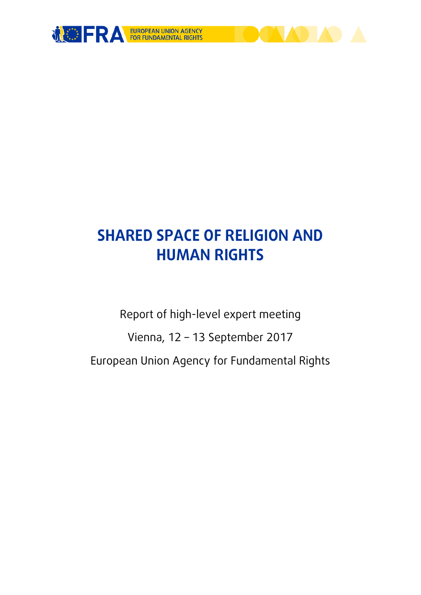

# **SHARED SPACE OF RELIGION AND HUMAN RIGHTS**

Report of high-level expert meeting

Vienna, 12 – 13 September 2017

European Union Agency for Fundamental Rights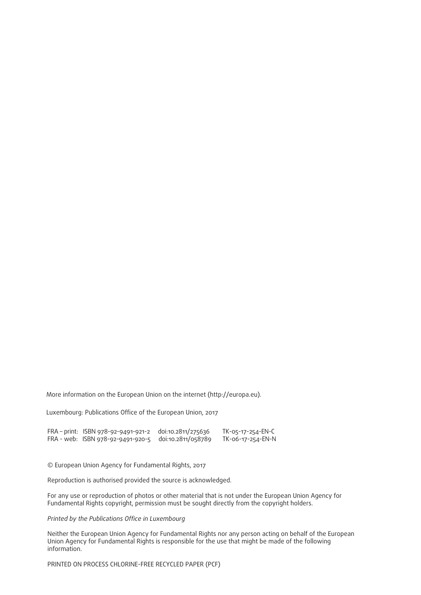More information on the European Union on the internet [\(http://europa.eu\)](http://europa.eu).

Luxembourg: Publications Office of the European Union, 2017

FRA – print: ISBN 978-92-9491-921-2 doi:10.2811/275636 TK-05-17-254-EN-C FRA - web: ISBN 978-92-9491-920-5 doi:10.2811/058789 TK-06-17-254-EN-N

© European Union Agency for Fundamental Rights, 2017

Reproduction is authorised provided the source is acknowledged.

For any use or reproduction of photos or other material that is not under the European Union Agency for Fundamental Rights copyright, permission must be sought directly from the copyright holders.

#### *Printed by the Publications Office in Luxembourg*

Neither the European Union Agency for Fundamental Rights nor any person acting on behalf of the European Union Agency for Fundamental Rights is responsible for the use that might be made of the following information.

PRINTED ON PROCESS CHLORINE-FREE RECYCLED PAPER (PCF)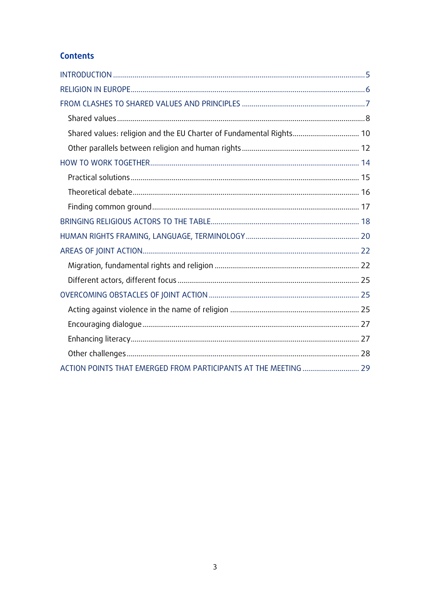### **Contents**

| Shared values: religion and the EU Charter of Fundamental Rights 10 |  |
|---------------------------------------------------------------------|--|
|                                                                     |  |
|                                                                     |  |
|                                                                     |  |
|                                                                     |  |
|                                                                     |  |
|                                                                     |  |
|                                                                     |  |
|                                                                     |  |
|                                                                     |  |
|                                                                     |  |
|                                                                     |  |
|                                                                     |  |
|                                                                     |  |
|                                                                     |  |
|                                                                     |  |
|                                                                     |  |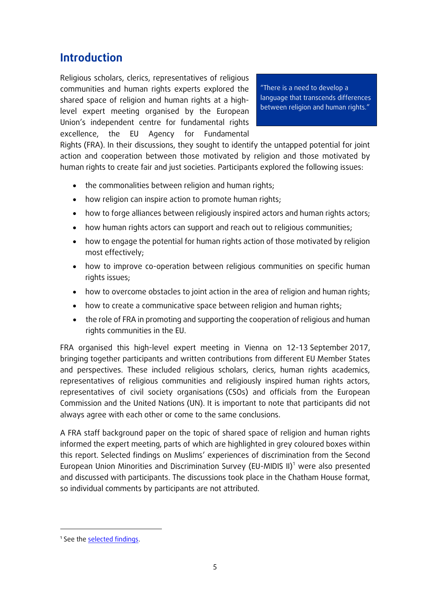# <span id="page-4-0"></span>**Introduction**

Religious scholars, clerics, representatives of religious communities and human rights experts explored the shared space of religion and human rights at a highlevel expert meeting organised by the European Union's independent centre for fundamental rights excellence, the EU Agency for Fundamental

"There is a need to develop a language that transcends differences between religion and human rights."

Rights (FRA). In their discussions, they sought to identify the untapped potential for joint action and cooperation between those motivated by religion and those motivated by human rights to create fair and just societies. Participants explored the following issues:

- the commonalities between religion and human rights;
- how religion can inspire action to promote human rights;
- how to forge alliances between religiously inspired actors and human rights actors;
- how human rights actors can support and reach out to religious communities;
- how to engage the potential for human rights action of those motivated by religion most effectively;
- how to improve co-operation between religious communities on specific human rights issues;
- how to overcome obstacles to joint action in the area of religion and human rights;
- how to create a communicative space between religion and human rights;
- the role of FRA in promoting and supporting the cooperation of religious and human rights communities in the EU.

FRA organised this high-level expert meeting in Vienna on 12-13 September 2017, bringing together participants and written contributions from different EU Member States and perspectives. These included religious scholars, clerics, human rights academics, representatives of religious communities and religiously inspired human rights actors, representatives of civil society organisations (CSOs) and officials from the European Commission and the United Nations (UN). It is important to note that participants did not always agree with each other or come to the same conclusions.

A FRA staff background paper on the topic of shared space of religion and human rights informed the expert meeting, parts of which are highlighted in grey coloured boxes within this report. Selected findings on Muslims' experiences of discrimination from the Second European Union Minorities and Discrimination Survey (EU-MIDIS II)<sup>1</sup> were also presented and discussed with participants. The discussions took place in the Chatham House format, so individual comments by participants are not attributed.

<sup>&</sup>lt;sup>1</sup> See th[e selected findings.](http://fra.europa.eu/en/publication/2017/eumidis-ii-muslims-selected-findings)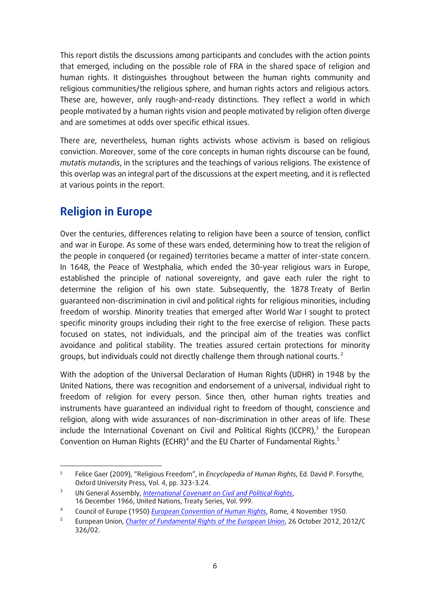This report distils the discussions among participants and concludes with the action points that emerged, including on the possible role of FRA in the shared space of religion and human rights. It distinguishes throughout between the human rights community and religious communities/the religious sphere, and human rights actors and religious actors. These are, however, only rough-and-ready distinctions. They reflect a world in which people motivated by a human rights vision and people motivated by religion often diverge and are sometimes at odds over specific ethical issues.

There are, nevertheless, human rights activists whose activism is based on religious conviction. Moreover, some of the core concepts in human rights discourse can be found, *mutatis mutandis*, in the scriptures and the teachings of various religions. The existence of this overlap was an integral part of the discussions at the expert meeting, and it is reflected at various points in the report.

# <span id="page-5-0"></span>**Religion in Europe**

Over the centuries, differences relating to religion have been a source of tension, conflict and war in Europe. As some of these wars ended, determining how to treat the religion of the people in conquered (or regained) territories became a matter of inter-state concern. In 1648, the Peace of Westphalia, which ended the 30-year religious wars in Europe, established the principle of national sovereignty, and gave each ruler the right to determine the religion of his own state. Subsequently, the 1878 Treaty of Berlin guaranteed non-discrimination in civil and political rights for religious minorities, including freedom of worship. Minority treaties that emerged after World War I sought to protect specific minority groups including their right to the free exercise of religion. These pacts focused on states, not individuals, and the principal aim of the treaties was conflict avoidance and political stability. The treaties assured certain protections for minority groups, but individuals could not directly challenge them through national courts.<sup>2</sup>

With the adoption of the Universal Declaration of Human Rights (UDHR) in 1948 by the United Nations, there was recognition and endorsement of a universal, individual right to freedom of religion for every person. Since then, other human rights treaties and instruments have guaranteed an individual right to freedom of thought, conscience and religion, along with wide assurances of non-discrimination in other areas of life. These include the International Covenant on Civil and Political Rights (ICCPR), $3$  the European Convention on Human Rights (ECHR)<sup>4</sup> and the EU Charter of Fundamental Rights.<sup>5</sup>

<sup>1</sup>  $\overline{2}$ Felice Gaer (2009), "Religious Freedom", in *Encyclopedia of Human Rights*, Ed. David P. Forsythe, Oxford University Press, Vol. 4, pp. 323-3.24.

<sup>3</sup> UN General Assembly, *[International Covenant on Civil and Political Rights](http://www.ohchr.org/EN/ProfessionalInterest/Pages/CCPR.aspx)*, 16 December 1966, United Nations, Treaty Series, Vol. 999.

<sup>4</sup> Council of Europe (1950) *[European Convention of Human Rights](http://www.echr.coe.int/Documents/Convention_ENG.pdf)*, Rome, 4 November 1950.

<sup>5</sup> European Union, *[Charter of Fundamental Rights of the European Union](http://eur-lex.europa.eu/legal-content/EN/TXT/?uri=CELEX:12012P/TXT)*, 26 October 2012, 2012/C 326/02.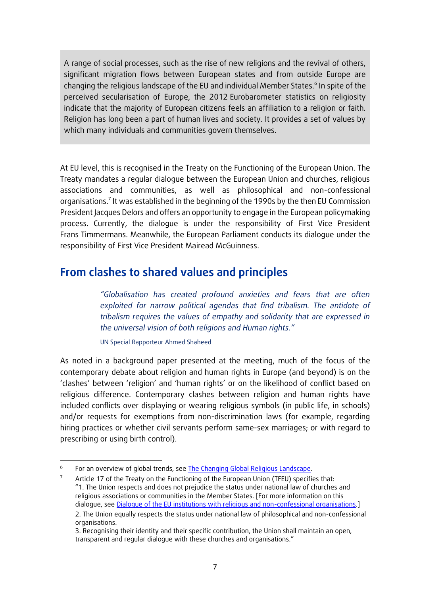A range of social processes, such as the rise of new religions and the revival of others, significant migration flows between European states and from outside Europe are changing the religious landscape of the EU and individual Member States.<sup>6</sup> In spite of the perceived secularisation of Europe, the 2012 Eurobarometer statistics on religiosity indicate that the majority of European citizens feels an affiliation to a religion or faith. Religion has long been a part of human lives and society. It provides a set of values by which many individuals and communities govern themselves.

At EU level, this is recognised in the Treaty on the Functioning of the European Union. The Treaty mandates a regular dialogue between the European Union and churches, religious associations and communities, as well as philosophical and non-confessional organisations.<sup>7</sup> It was established in the beginning of the 1990s by the then EU Commission President Jacques Delors and offers an opportunity to engage in the European policymaking process. Currently, the dialogue is under the responsibility of First Vice President Frans Timmermans. Meanwhile, the European Parliament conducts its dialogue under the responsibility of First Vice President Mairead McGuinness.

### <span id="page-6-0"></span>**From clashes to shared values and principles**

*"Globalisation has created profound anxieties and fears that are often exploited for narrow political agendas that find tribalism. The antidote of tribalism requires the values of empathy and solidarity that are expressed in the universal vision of both religions and Human rights."*

UN Special Rapporteur Ahmed Shaheed

1

As noted in a background paper presented at the meeting, much of the focus of the contemporary debate about religion and human rights in Europe (and beyond) is on the 'clashes' between 'religion' and 'human rights' or on the likelihood of conflict based on religious difference. Contemporary clashes between religion and human rights have included conflicts over displaying or wearing religious symbols (in public life, in schools) and/or requests for exemptions from non-discrimination laws (for example, regarding hiring practices or whether civil servants perform same-sex marriages; or with regard to prescribing or using birth control).

For an overview of global trends, see [The Changing Global Religious Landscape.](http://www.pewforum.org/2017/04/05/the-changing-global-religious-landscape/)

<sup>&</sup>lt;sup>7</sup> Article 17 of the Treaty on the Functioning of the European Union (TFEU) specifies that: "1. The Union respects and does not prejudice the status under national law of churches and religious associations or communities in the Member States. [For more information on this dialogue, se[e Dialogue of the EU institutions with religious and non-confessional organisations.](http://www.europarl.europa.eu/RegData/etudes/ATAG/2016/589769/EPRS_ATA(2016)589769_EN.pdf)] 2. The Union equally respects the status under national law of philosophical and non-confessional

organisations.

<sup>3.</sup> Recognising their identity and their specific contribution, the Union shall maintain an open, transparent and regular dialogue with these churches and organisations."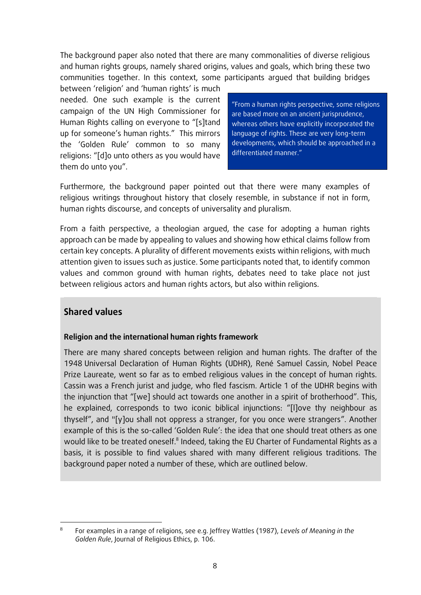The background paper also noted that there are many commonalities of diverse religious and human rights groups, namely shared origins, values and goals, which bring these two communities together. In this context, some participants argued that building bridges

between 'religion' and 'human rights' is much needed. One such example is the current campaign of the UN High Commissioner for Human Rights calling on everyone to "[s]tand up for someone's human rights." This mirrors the 'Golden Rule' common to so many religions: "[d]o unto others as you would have them do unto you".

"From a human rights perspective, some religions are based more on an ancient jurisprudence, whereas others have explicitly incorporated the language of rights. These are very long-term developments, which should be approached in a differentiated manner."

Furthermore, the background paper pointed out that there were many examples of religious writings throughout history that closely resemble, in substance if not in form, human rights discourse, and concepts of universality and pluralism.

From a faith perspective, a theologian argued, the case for adopting a human rights approach can be made by appealing to values and showing how ethical claims follow from certain key concepts. A plurality of different movements exists within religions, with much attention given to issues such as justice. Some participants noted that, to identify common values and common ground with human rights, debates need to take place not just between religious actors and human rights actors, but also within religions.

### <span id="page-7-0"></span>**Shared values**

### **Religion and the international human rights framework**

There are many shared concepts between religion and human rights. The drafter of the 1948 Universal Declaration of Human Rights (UDHR), René Samuel Cassin, Nobel Peace Prize Laureate, went so far as to embed religious values in the concept of human rights. Cassin was a French jurist and judge, who fled fascism. Article 1 of the UDHR begins with the injunction that "[we] should act towards one another in a spirit of brotherhood". This, he explained, corresponds to two iconic biblical injunctions: "[l]ove thy neighbour as thyself", and "[y]ou shall not oppress a stranger, for you once were strangers". Another example of this is the so-called 'Golden Rule': the idea that one should treat others as one would like to be treated oneself.<sup>8</sup> Indeed, taking the EU Charter of Fundamental Rights as a basis, it is possible to find values shared with many different religious traditions. The background paper noted a number of these, which are outlined below.

 $\overline{a}$ For examples in a range of religions, see e.g. Jeffrey Wattles (1987), *Levels of Meaning in the Golden Rule*, Journal of Religious Ethics, p. 106.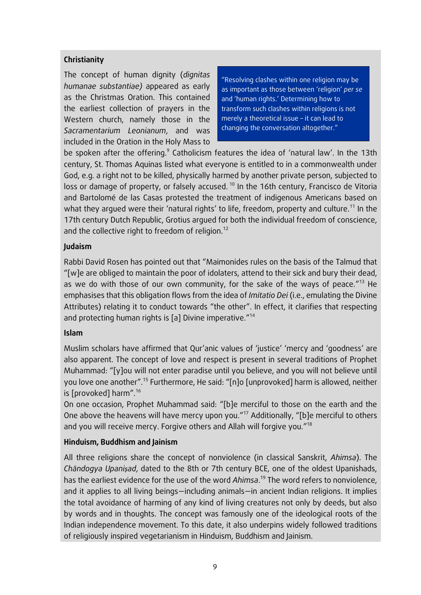### **Christianity**

The concept of human dignity (*dignitas humanae substantiae)* appeared as early as the Christmas Oration. This contained the earliest collection of prayers in the Western church, namely those in the *Sacramentarium Leonianum*, and was included in the Oration in the Holy Mass to

"Resolving clashes within one religion may be as important as those between 'religion' *per se* and 'human rights.' Determining how to transform such clashes within religions is not merely a theoretical issue – it can lead to changing the conversation altogether."

be spoken after the offering.<sup>9</sup> Catholicism features the idea of 'natural law'. In the 13th century, St. Thomas Aquinas listed what everyone is entitled to in a commonwealth under God, e.g. a right not to be killed, physically harmed by another private person, subjected to loss or damage of property, or falsely accused.<sup>10</sup> In the 16th century, Francisco de Vitoria and Bartolomé de las Casas protested the treatment of indigenous Americans based on what they argued were their 'natural rights' to life, freedom, property and culture.<sup>11</sup> In the 17th century Dutch Republic, Grotius argued for both the individual freedom of conscience, and the collective right to freedom of religion.<sup>12</sup>

### **Judaism**

Rabbi David Rosen has pointed out that "Maimonides rules on the basis of the Talmud that "[w]e are obliged to maintain the poor of idolaters, attend to their sick and bury their dead, as we do with those of our own community, for the sake of the ways of peace."<sup>13</sup> He emphasises that this obligation flows from the idea of *Imitatio Dei* (i.e., emulating the Divine Attributes) relating it to conduct towards "the other". In effect, it clarifies that respecting and protecting human rights is [a] Divine imperative."<sup>14</sup>

### **Islam**

Muslim scholars have affirmed that Qur'anic values of 'justice' 'mercy and 'goodness' are also apparent. The concept of love and respect is present in several traditions of Prophet Muhammad: "[y]ou will not enter paradise until you believe, and you will not believe until you love one another".<sup>15</sup> Furthermore, He said: "[n]o [unprovoked] harm is allowed, neither is [provoked] harm". $^{16}$ 

On one occasion, Prophet Muhammad said: "[b]e merciful to those on the earth and the One above the heavens will have mercy upon you."<sup>17</sup> Additionally, "[b]e merciful to others and you will receive mercy. Forgive others and Allah will forgive you."<sup>18</sup>

### **Hinduism, Buddhism and Jainism**

All three religions share the concept of nonviolence (in classical Sanskrit, *Ahimsa*). The *Chāndogya Upaniṣad*, dated to the 8th or 7th century BCE, one of the oldest Upanishads, has the earliest evidence for the use of the word *Ahimsa*. <sup>19</sup> The word refers to nonviolence, and it applies to all living beings—including animals—in ancient Indian religions. It implies the total avoidance of harming of any kind of living creatures not only by deeds, but also by words and in thoughts. The concept was famously one of the ideological roots of the Indian independence movement. To this date, it also underpins widely followed traditions of religiously inspired vegetarianism in Hinduism, Buddhism and Jainism.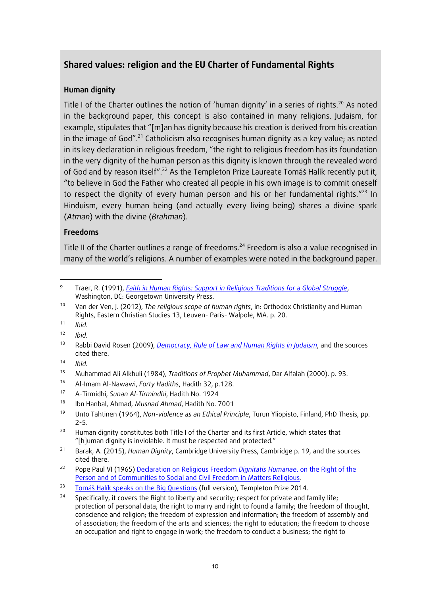### <span id="page-9-0"></span>**Shared values: religion and the EU Charter of Fundamental Rights**

#### **Human dignity**

Title I of the Charter outlines the notion of 'human dignity' in a series of rights.<sup>20</sup> As noted in the background paper, this concept is also contained in many religions. Judaism, for example, stipulates that "[m]an has dignity because his creation is derived from his creation in the image of God".<sup>21</sup> Catholicism also recognises human dignity as a key value; as noted in its key declaration in religious freedom, "the right to religious freedom has its foundation in the very dignity of the human person as this dignity is known through the revealed word of God and by reason itself".<sup>22</sup> As the Templeton Prize Laureate Tomáš Halík recently put it, "to believe in God the Father who created all people in his own image is to commit oneself to respect the dignity of every human person and his or her fundamental rights."<sup>23</sup> In Hinduism, every human being (and actually every living being) shares a divine spark (*Atman*) with the divine (*Brahman*).

#### **Freedoms**

Title II of the Charter outlines a range of freedoms.<sup>24</sup> Freedom is also a value recognised in many of the world's religions. A number of examples were noted in the background paper.

<sup>1</sup>  $\circ$ Traer, R. (1991), *[Faith in Human Rights: Support in Religious Traditions for a Global Struggle](http://www.religionhumanrights.com/Religion/Christian/Catholic/catholics.fhr.htm)*, Washington, DC: Georgetown University Press.

<sup>10</sup> Van der Ven, J. (2012), *The religious scope of human rights*, in: Orthodox Christianity and Human Rights, Eastern Christian Studies 13, Leuven- Paris- Walpole, MA. p. 20.

 $11$  *Ibid.* 

<sup>12</sup> *Ibid.*

<sup>13</sup> Rabbi David Rosen (2009), *[Democracy, Rule of Law and Human Rights in](https://www.rabbidavidrosen.net/wp-content/uploads/2016/03/Democracy-Rule-of-Law-and-Human-Rights-in-Judaism-March-2009.pdf) Judaism*, and the sources cited there.

<sup>14</sup> *Ibid.*

<sup>15</sup> Muhammad Ali Alkhuli (1984), *Traditions of Prophet Muhammad*, Dar Alfalah (2000). p. 93.

<sup>16</sup> Al-Imam Al-Nawawi, *Forty Hadiths*, Hadith 32, p.128.

<sup>17</sup> A-Tirmidhi, *Sunan Al-Tirmindhi*, Hadith No. 1924

<sup>18</sup> Ibn Hanbal, Ahmad, *Musnad Ahmad*, Hadith No. 7001

<sup>19</sup> Unto Tähtinen (1964), *Non-violence as an Ethical Principle*, Turun Yliopisto, Finland, PhD Thesis, pp. 2-5.

<sup>&</sup>lt;sup>20</sup> Human dignity constitutes both Title I of the Charter and its first Article, which states that "[h]uman dignity is inviolable. It must be respected and protected."

<sup>21</sup> Barak, A. (2015), *Human Dignity*, Cambridge University Press, Cambridge p. 19, and the sources cited there.

*<sup>22</sup>* Pope Paul VI (1965[\) Declaration on Religious Freedom](http://www.vatican.va/archive/hist_councils/ii_vatican_council/documents/vat-ii_decl_19651207_dignitatis-humanae_en.html) *Dignitatis Humanae*, on the Right of the [Person and of Communities to Social and Civil Freedom in Matters Religious.](http://www.vatican.va/archive/hist_councils/ii_vatican_council/documents/vat-ii_decl_19651207_dignitatis-humanae_en.html)

<sup>&</sup>lt;sup>23</sup> [Tomáš Halík speaks on the Big Qu](https://www.youtube.com/watch?v=aMu5nNNWksY)estions (full version), Templeton Prize 2014.

<sup>&</sup>lt;sup>24</sup> Specifically, it covers the Right to liberty and security; respect for private and family life; protection of personal data; the right to marry and right to found a family; the freedom of thought, conscience and religion; the freedom of expression and information; the freedom of assembly and of association; the freedom of the arts and sciences; the right to education; the freedom to choose an occupation and right to engage in work; the freedom to conduct a business; the right to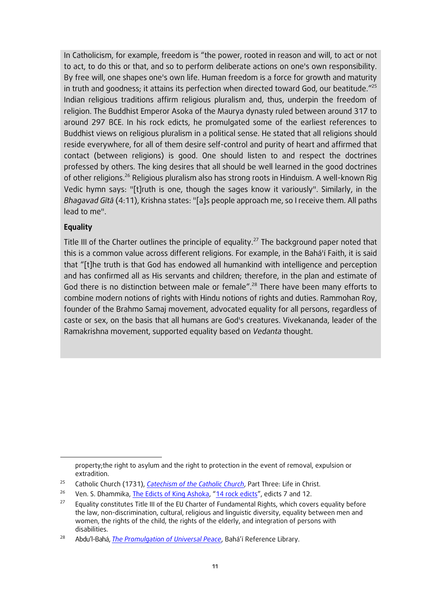In Catholicism, for example, freedom is "the power, rooted in reason and will, to act or not to act, to do this or that, and so to perform deliberate actions on one's own responsibility. By free will, one shapes one's own life. Human freedom is a force for growth and maturity in truth and goodness; it attains its perfection when directed toward God, our beatitude." 25 Indian religious traditions affirm religious pluralism and, thus, underpin the freedom of religion. The Buddhist Emperor Asoka of the Maurya dynasty ruled between around 317 to around 297 BCE. In his rock edicts, he promulgated some of the earliest references to Buddhist views on religious pluralism in a political sense. He stated that all religions should reside everywhere, for all of them desire self-control and purity of heart and affirmed that contact (between religions) is good. One should listen to and respect the doctrines professed by others. The king desires that all should be well learned in the good doctrines of other religions.<sup>26</sup> Religious pluralism also has strong roots in Hinduism. A well-known Rig Vedic hymn says: "[t]ruth is one, though the sages know it variously". Similarly, in the *Bhagavad Gītā* (4:11), Krishna states: "[a]s people approach me, so I receive them. All paths lead to me".

### **Equality**

**.** 

Title III of the Charter outlines the principle of equality.<sup>27</sup> The background paper noted that this is a common value across different religions. For example, in the Bahá'í Faith, it is said that "[t]he truth is that God has endowed all humankind with intelligence and perception and has confirmed all as His servants and children; therefore, in the plan and estimate of God there is no distinction between male or female".<sup>28</sup> There have been many efforts to combine modern notions of rights with Hindu notions of rights and duties. Rammohan Roy, founder of the Brahmo Samaj movement, advocated equality for all persons, regardless of caste or sex, on the basis that all humans are God's creatures. Vivekananda, leader of the Ramakrishna movement, supported equality based on *Vedanta* thought.

property;the right to asylum and the right to protection in the event of removal, expulsion or extradition.

<sup>25</sup> Catholic Church (1731), *[Catechism of the Catholic Church](http://www.vatican.va/archive/ccc_css/archive/catechism/p3s1c1a3.htm)*, Part Three: Life in Christ.

<sup>&</sup>lt;sup>26</sup> Ven. S. Dhammika[, The Edicts of King Ashoka](https://www.cs.colostate.edu/~malaiya/ashoka.html), "[14 rock edicts](https://www.cs.colostate.edu/~malaiya/ashoka.html)", edicts 7 and 12.

<sup>&</sup>lt;sup>27</sup> Equality constitutes Title III of the EU Charter of Fundamental Rights, which covers equality before the law, non-discrimination, cultural, religious and linguistic diversity, equality between men and women, the rights of the child, the rights of the elderly, and integration of persons with disabilities.

<sup>28</sup> Abdu'l-Bahá, *[The Promulgation of Universal Peace](http://www.bahai.org/library/authoritative-texts/abdul-baha/promulgation-universal-peace/#f=f20-1223)*, Bahá'í Reference Library.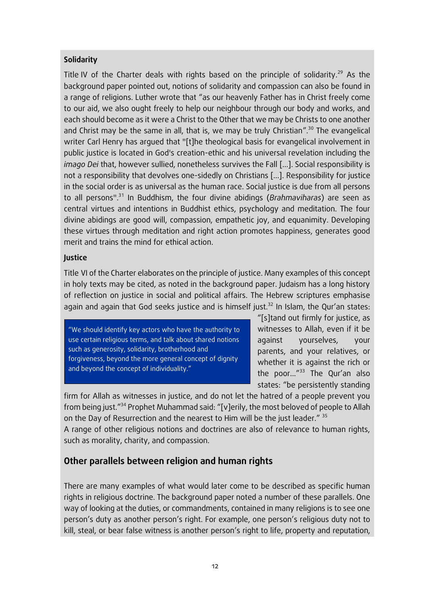### **Solidarity**

Title IV of the Charter deals with rights based on the principle of solidarity.<sup>29</sup> As the background paper pointed out, notions of solidarity and compassion can also be found in a range of religions. Luther wrote that "as our heavenly Father has in Christ freely come to our aid, we also ought freely to help our neighbour through our body and works, and each should become as it were a Christ to the Other that we may be Christs to one another and Christ may be the same in all, that is, we may be truly Christian".<sup>30</sup> The evangelical writer Carl Henry has argued that "[t]he theological basis for evangelical involvement in public justice is located in God's creation-ethic and his universal revelation including the *imago Dei* that, however sullied, nonetheless survives the Fall […]. Social responsibility is not a responsibility that devolves one-sidedly on Christians […]. Responsibility for justice in the social order is as universal as the human race. Social justice is due from all persons to all persons".<sup>31</sup> In Buddhism, the four divine abidings (*Brahmaviharas*) are seen as central virtues and intentions in Buddhist ethics, psychology and meditation. The four divine abidings are good will, compassion, empathetic joy, and equanimity. Developing these virtues through meditation and right action promotes happiness, generates good merit and trains the mind for ethical action.

### **Justice**

Title VI of the Charter elaborates on the principle of justice. Many examples of this concept in holy texts may be cited, as noted in the background paper. Judaism has a long history of reflection on justice in social and political affairs. The Hebrew scriptures emphasise again and again that God seeks justice and is himself just.<sup>32</sup> In Islam, the Qur'an states:

"We should identify key actors who have the authority to use certain religious terms, and talk about shared notions such as generosity, solidarity, brotherhood and forgiveness, beyond the more general concept of dignity and beyond the concept of individuality."

"[s]tand out firmly for justice, as witnesses to Allah, even if it be against yourselves, your parents, and your relatives, or whether it is against the rich or the poor..." <sup>33</sup> The Qur'an also states: "be persistently standing

firm for Allah as witnesses in justice, and do not let the hatred of a people prevent you from being just." <sup>34</sup> Prophet Muhammad said: "[v]erily, the most beloved of people to Allah on the Day of Resurrection and the nearest to Him will be the just leader." 35

A range of other religious notions and doctrines are also of relevance to human rights, such as morality, charity, and compassion.

### <span id="page-11-0"></span>**Other parallels between religion and human rights**

There are many examples of what would later come to be described as specific human rights in religious doctrine. The background paper noted a number of these parallels. One way of looking at the duties, or commandments, contained in many religions is to see one person's duty as another person's right. For example, one person's religious duty not to kill, steal, or bear false witness is another person's right to life, property and reputation,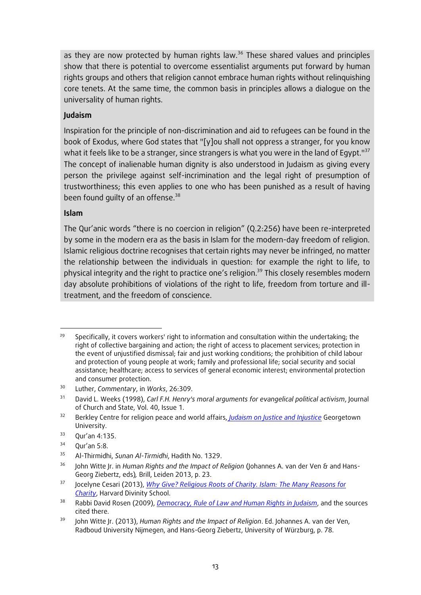as they are now protected by human rights law.<sup>36</sup> These shared values and principles show that there is potential to overcome essentialist arguments put forward by human rights groups and others that religion cannot embrace human rights without relinquishing core tenets. At the same time, the common basis in principles allows a dialogue on the universality of human rights.

#### **Judaism**

Inspiration for the principle of non-discrimination and aid to refugees can be found in the book of Exodus, where God states that "[y]ou shall not oppress a stranger, for you know what it feels like to be a stranger, since strangers is what you were in the land of Egypt."<sup>37</sup> The concept of inalienable human dignity is also understood in Judaism as giving every person the privilege against self-incrimination and the legal right of presumption of trustworthiness; this even applies to one who has been punished as a result of having been found quilty of an offense.<sup>38</sup>

#### **Islam**

The Qur'anic words "there is no coercion in religion" (Q.2:256) have been re-interpreted by some in the modern era as the basis in Islam for the modern-day freedom of religion. Islamic religious doctrine recognises that certain rights may never be infringed, no matter the relationship between the individuals in question: for example the right to life, to physical integrity and the right to practice one's religion.<sup>39</sup> This closely resembles modern day absolute prohibitions of violations of the right to life, freedom from torture and illtreatment, and the freedom of conscience.

**<sup>.</sup>** Specifically, it covers workers' right to information and consultation within the undertaking; the right of collective bargaining and action; the right of access to placement services; protection in the event of unjustified dismissal; fair and just working conditions; the prohibition of child labour and protection of young people at work; family and professional life; social security and social assistance; healthcare; access to services of general economic interest; environmental protection and consumer protection.

<sup>30</sup> Luther, *Commentary*, in *Works*, 26:309.

<sup>31</sup> David L. Weeks (1998), *Carl F.H. Henry's moral arguments for evangelical political activism*, Journal of Church and State, Vol. 40, Issue 1.

<sup>32</sup> Berkley Centre for religion peace and world affairs, *[Judaism on Justice and Injustice](https://berkleycenter.georgetown.edu/essays/judaism-on-justice-and-injustice)* Georgetown University.

<sup>33</sup> Qur'an 4:135.

 $34$  Our'an 5:8.

<sup>35</sup> Al-Thirmidhi, *Sunan Al-Tirmidhi*, Hadith No. 1329.

<sup>36</sup> John Witte Jr. in *Human Rights and the Impact of Religion* (Johannes A. van der Ven & and Hans-Georg Ziebertz, eds)*,* Brill, Leiden 2013, p. 23.

<sup>37</sup> Jocelyne Cesari (2013), *[Why Give? Religious Roots of Charity. Islam: The Many Reasons for](https://hds.harvard.edu/news/2013/12/13/why-give-religious-roots-charity)  [Charity](https://hds.harvard.edu/news/2013/12/13/why-give-religious-roots-charity)*, Harvard Divinity School.

<sup>38</sup> Rabbi David Rosen (2009), *[Democracy, Rule of Law and Human Rights in](https://www.rabbidavidrosen.net/wp-content/uploads/2016/03/Democracy-Rule-of-Law-and-Human-Rights-in-Judaism-March-2009.pdf) Judaism*, and the sources cited there.

<sup>39</sup> John Witte Jr. (2013), *Human Rights and the Impact of Religion*. Ed. Johannes A. van der Ven, Radboud University Nijmegen, and Hans-Georg Ziebertz, University of Würzburg, p. 78.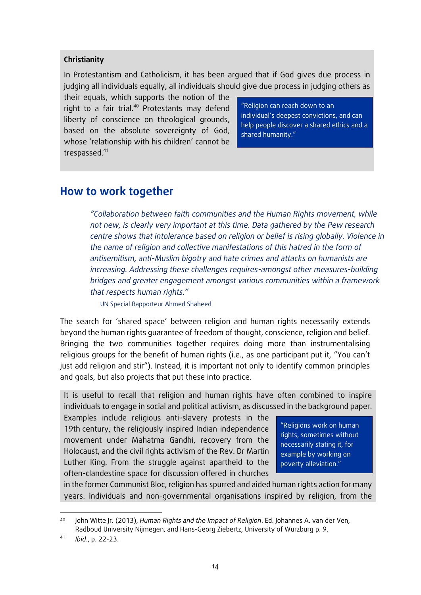#### **Christianity**

In Protestantism and Catholicism, it has been argued that if God gives due process in judging all individuals equally, all individuals should give due process in judging others as

their equals, which supports the notion of the right to a fair trial. $40$  Protestants may defend liberty of conscience on theological grounds, based on the absolute sovereignty of God, whose 'relationship with his children' cannot be trespassed.<sup>41</sup>

"Religion can reach down to an individual's deepest convictions, and can help people discover a shared ethics and a shared humanity."

# <span id="page-13-0"></span>**How to work together**

*"Collaboration between faith communities and the Human Rights movement, while not new, is clearly very important at this time. Data gathered by the Pew research centre shows that intolerance based on religion or belief is rising globally. Violence in the name of religion and collective manifestations of this hatred in the form of antisemitism, anti-Muslim bigotry and hate crimes and attacks on humanists are increasing. Addressing these challenges requires-amongst other measures-building bridges and greater engagement amongst various communities within a framework that respects human rights."*

UN Special Rapporteur Ahmed Shaheed

The search for 'shared space' between religion and human rights necessarily extends beyond the human rights guarantee of freedom of thought, conscience, religion and belief. Bringing the two communities together requires doing more than instrumentalising religious groups for the benefit of human rights (i.e., as one participant put it, "You can't just add religion and stir"). Instead, it is important not only to identify common principles and goals, but also projects that put these into practice.

It is useful to recall that religion and human rights have often combined to inspire individuals to engage in social and political activism, as discussed in the background paper.

Examples include religious anti-slavery protests in the 19th century, the religiously inspired Indian independence movement under Mahatma Gandhi, recovery from the Holocaust, and the civil rights activism of the Rev. Dr Martin Luther King. From the struggle against apartheid to the often-clandestine space for discussion offered in churches

"Religions work on human rights, sometimes without necessarily stating it, for example by working on poverty alleviation."

in the former Communist Bloc, religion has spurred and aided human rights action for many years. Individuals and non-governmental organisations inspired by religion, from the

 $\overline{\phantom{a}}$ 

<sup>40</sup> John Witte Jr. (2013), *Human Rights and the Impact of Religion*. Ed. Johannes A. van der Ven, Radboud University Nijmegen, and Hans-Georg Ziebertz, University of Würzburg p. 9.

<sup>41</sup> *Ibid*., p. 22-23.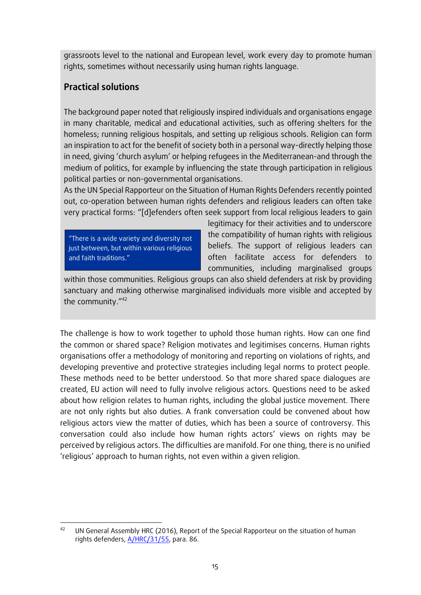grassroots level to the national and European level, work every day to promote human rights, sometimes without necessarily using human rights language.

### <span id="page-14-0"></span>**Practical solutions**

The background paper noted that religiously inspired individuals and organisations engage in many charitable, medical and educational activities, such as offering shelters for the homeless; running religious hospitals, and setting up religious schools. Religion can form an inspiration to act for the benefit of society both in a personal way-directly helping those in need, giving 'church asylum' or helping refugees in the Mediterranean-and through the medium of politics, for example by influencing the state through participation in religious political parties or non-governmental organisations.

As the UN Special Rapporteur on the Situation of Human Rights Defenders recently pointed out, co-operation between human rights defenders and religious leaders can often take very practical forms: "[d]efenders often seek support from local religious leaders to gain

"There is a wide variety and diversity not just between, but within various religious and faith traditions."

legitimacy for their activities and to underscore the compatibility of human rights with religious beliefs. The support of religious leaders can often facilitate access for defenders to communities, including marginalised groups

within those communities. Religious groups can also shield defenders at risk by providing sanctuary and making otherwise marginalised individuals more visible and accepted by the community." 42

The challenge is how to work together to uphold those human rights. How can one find the common or shared space? Religion motivates and legitimises concerns. Human rights organisations offer a methodology of monitoring and reporting on violations of rights, and developing preventive and protective strategies including legal norms to protect people. These methods need to be better understood. So that more shared space dialogues are created, EU action will need to fully involve religious actors. Questions need to be asked about how religion relates to human rights, including the global justice movement. There are not only rights but also duties. A frank conversation could be convened about how religious actors view the matter of duties, which has been a source of controversy. This conversation could also include how human rights actors' views on rights may be perceived by religious actors. The difficulties are manifold. For one thing, there is no unified 'religious' approach to human rights, not even within a given religion.

**<sup>.</sup>** <sup>42</sup> UN General Assembly HRC (2016), Report of the Special Rapporteur on the situation of human rights defenders, [A/HRC/31/55,](https://view.officeapps.live.com/op/view.aspx?src=http%3A%2F%2Fwww.ohchr.org%2FEN%2FHRBodies%2FHRC%2FRegularSessions%2FSession31%2FDocuments%2FA%2520HRC%252031%252055_E.docx) para. 86.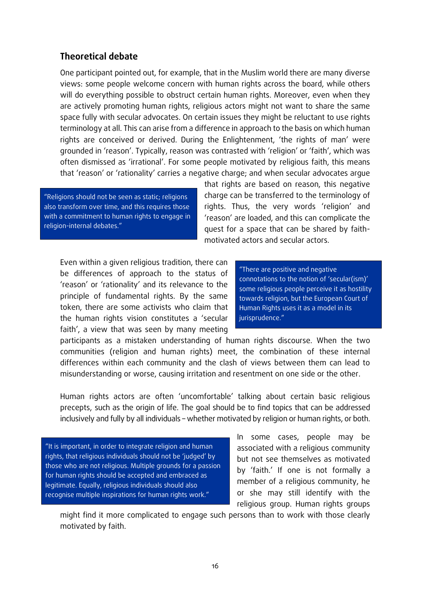### <span id="page-15-0"></span>**Theoretical debate**

One participant pointed out, for example, that in the Muslim world there are many diverse views: some people welcome concern with human rights across the board, while others will do everything possible to obstruct certain human rights. Moreover, even when they are actively promoting human rights, religious actors might not want to share the same space fully with secular advocates. On certain issues they might be reluctant to use rights terminology at all. This can arise from a difference in approach to the basis on which human rights are conceived or derived. During the Enlightenment, 'the rights of man' were grounded in 'reason'. Typically, reason was contrasted with 'religion' or 'faith', which was often dismissed as 'irrational'. For some people motivated by religious faith, this means that 'reason' or 'rationality' carries a negative charge; and when secular advocates argue

"Religions should not be seen as static; religions also transform over time, and this requires those with a commitment to human rights to engage in religion-internal debates."

that rights are based on reason, this negative charge can be transferred to the terminology of rights. Thus, the very words 'religion' and 'reason' are loaded, and this can complicate the quest for a space that can be shared by faithmotivated actors and secular actors.

Even within a given religious tradition, there can be differences of approach to the status of 'reason' or 'rationality' and its relevance to the principle of fundamental rights. By the same token, there are some activists who claim that the human rights vision constitutes a 'secular faith', a view that was seen by many meeting

"There are positive and negative connotations to the notion of 'secular(ism)' some religious people perceive it as hostility towards religion, but the European Court of Human Rights uses it as a model in its jurisprudence."

participants as a mistaken understanding of human rights discourse. When the two communities (religion and human rights) meet, the combination of these internal differences within each community and the clash of views between them can lead to misunderstanding or worse, causing irritation and resentment on one side or the other.

Human rights actors are often 'uncomfortable' talking about certain basic religious precepts, such as the origin of life. The goal should be to find topics that can be addressed inclusively and fully by all individuals – whether motivated by religion or human rights, or both.

"It is important, in order to integrate religion and human rights, that religious individuals should not be 'judged' by those who are not religious. Multiple grounds for a passion for human rights should be accepted and embraced as legitimate. Equally, religious individuals should also recognise multiple inspirations for human rights work."

In some cases, people may be associated with a religious community but not see themselves as motivated by 'faith.' If one is not formally a member of a religious community, he or she may still identify with the religious group. Human rights groups

might find it more complicated to engage such persons than to work with those clearly motivated by faith.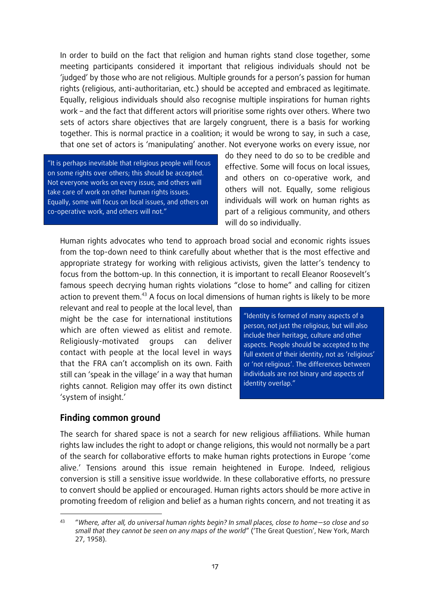In order to build on the fact that religion and human rights stand close together, some meeting participants considered it important that religious individuals should not be 'judged' by those who are not religious. Multiple grounds for a person's passion for human rights (religious, anti-authoritarian, etc.) should be accepted and embraced as legitimate. Equally, religious individuals should also recognise multiple inspirations for human rights work – and the fact that different actors will prioritise some rights over others. Where two sets of actors share objectives that are largely congruent, there is a basis for working together. This is normal practice in a coalition; it would be wrong to say, in such a case, that one set of actors is 'manipulating' another. Not everyone works on every issue, nor

"It is perhaps inevitable that religious people will focus on some rights over others; this should be accepted. Not everyone works on every issue, and others will take care of work on other human rights issues. Equally, some will focus on local issues, and others on co-operative work, and others will not."

do they need to do so to be credible and effective. Some will focus on local issues, and others on co-operative work, and others will not. Equally, some religious individuals will work on human rights as part of a religious community, and others will do so individually.

Human rights advocates who tend to approach broad social and economic rights issues from the top-down need to think carefully about whether that is the most effective and appropriate strategy for working with religious activists, given the latter's tendency to focus from the bottom-up. In this connection, it is important to recall Eleanor Roosevelt's famous speech decrying human rights violations "close to home" and calling for citizen action to prevent them.<sup>43</sup> A focus on local dimensions of human rights is likely to be more

relevant and real to people at the local level, than might be the case for international institutions which are often viewed as elitist and remote. Religiously-motivated groups can deliver contact with people at the local level in ways that the FRA can't accomplish on its own. Faith still can 'speak in the village' in a way that human rights cannot. Religion may offer its own distinct 'system of insight.'

"Identity is formed of many aspects of a person, not just the religious, but will also include their heritage, culture and other aspects. People should be accepted to the full extent of their identity, not as 'religious' or 'not religious'. The differences between individuals are not binary and aspects of identity overlap."

### <span id="page-16-0"></span>**Finding common ground**

**.** 

The search for shared space is not a search for new religious affiliations. While human rights law includes the right to adopt or change religions, this would not normally be a part of the search for collaborative efforts to make human rights protections in Europe 'come alive.' Tensions around this issue remain heightened in Europe. Indeed, religious conversion is still a sensitive issue worldwide. In these collaborative efforts, no pressure to convert should be applied or encouraged. Human rights actors should be more active in promoting freedom of religion and belief as a human rights concern, and not treating it as

<sup>43</sup> "*Where, after all, do universal human rights begin? In small places, close to home—so close and so small that they cannot be seen on any maps of the world*" ('The Great Question', New York, March 27, 1958).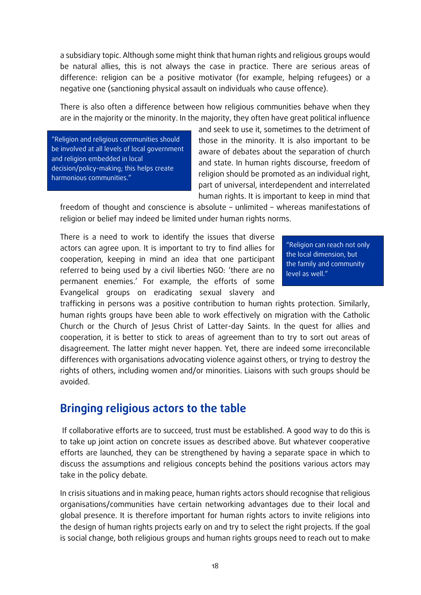a subsidiary topic. Although some might think that human rights and religious groups would be natural allies, this is not always the case in practice. There are serious areas of difference: religion can be a positive motivator (for example, helping refugees) or a negative one (sanctioning physical assault on individuals who cause offence).

There is also often a difference between how religious communities behave when they are in the majority or the minority. In the majority, they often have great political influence

"Religion and religious communities should be involved at all levels of local government and religion embedded in local decision/policy-making; this helps create harmonious communities."

and seek to use it, sometimes to the detriment of those in the minority. It is also important to be aware of debates about the separation of church and state. In human rights discourse, freedom of religion should be promoted as an individual right, part of universal, interdependent and interrelated human rights. It is important to keep in mind that

freedom of thought and conscience is absolute – unlimited – whereas manifestations of religion or belief may indeed be limited under human rights norms.

There is a need to work to identify the issues that diverse actors can agree upon. It is important to try to find allies for cooperation, keeping in mind an idea that one participant referred to being used by a civil liberties NGO: 'there are no permanent enemies.' For example, the efforts of some Evangelical groups on eradicating sexual slavery and

"Religion can reach not only the local dimension, but the family and community level as well."

trafficking in persons was a positive contribution to human rights protection. Similarly, human rights groups have been able to work effectively on migration with the Catholic Church or the Church of Jesus Christ of Latter-day Saints. In the quest for allies and cooperation, it is better to stick to areas of agreement than to try to sort out areas of disagreement. The latter might never happen. Yet, there are indeed some irreconcilable differences with organisations advocating violence against others, or trying to destroy the rights of others, including women and/or minorities. Liaisons with such groups should be avoided.

# <span id="page-17-0"></span>**Bringing religious actors to the table**

If collaborative efforts are to succeed, trust must be established. A good way to do this is to take up joint action on concrete issues as described above. But whatever cooperative efforts are launched, they can be strengthened by having a separate space in which to discuss the assumptions and religious concepts behind the positions various actors may take in the policy debate.

In crisis situations and in making peace, human rights actors should recognise that religious organisations/communities have certain networking advantages due to their local and global presence. It is therefore important for human rights actors to invite religions into the design of human rights projects early on and try to select the right projects. If the goal is social change, both religious groups and human rights groups need to reach out to make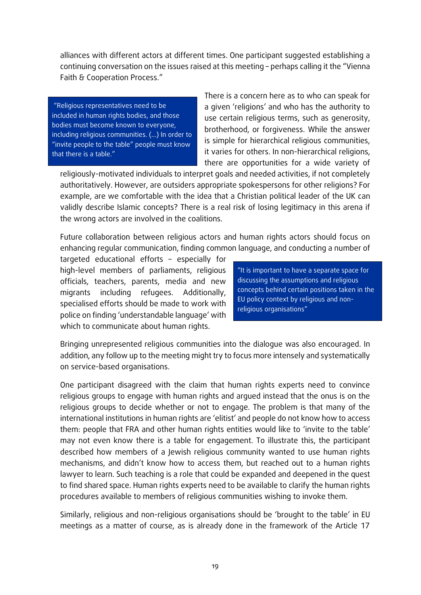alliances with different actors at different times. One participant suggested establishing a continuing conversation on the issues raised at this meeting – perhaps calling it the "Vienna Faith & Cooperation Process."

"Religious representatives need to be included in human rights bodies, and those bodies must become known to everyone, including religious communities. (…) In order to "invite people to the table" people must know that there is a table."

There is a concern here as to who can speak for a given 'religions' and who has the authority to use certain religious terms, such as generosity, brotherhood, or forgiveness. While the answer is simple for hierarchical religious communities, it varies for others. In non-hierarchical religions, there are opportunities for a wide variety of

religiously-motivated individuals to interpret goals and needed activities, if not completely authoritatively. However, are outsiders appropriate spokespersons for other religions? For example, are we comfortable with the idea that a Christian political leader of the UK can validly describe Islamic concepts? There is a real risk of losing legitimacy in this arena if the wrong actors are involved in the coalitions.

Future collaboration between religious actors and human rights actors should focus on enhancing regular communication, finding common language, and conducting a number of

targeted educational efforts – especially for high-level members of parliaments, religious officials, teachers, parents, media and new migrants including refugees. Additionally, specialised efforts should be made to work with police on finding 'understandable language' with which to communicate about human rights.

"It is important to have a separate space for discussing the assumptions and religious concepts behind certain positions taken in the EU policy context by religious and nonreligious organisations"

Bringing unrepresented religious communities into the dialogue was also encouraged. In addition, any follow up to the meeting might try to focus more intensely and systematically on service-based organisations.

One participant disagreed with the claim that human rights experts need to convince religious groups to engage with human rights and argued instead that the onus is on the religious groups to decide whether or not to engage. The problem is that many of the international institutions in human rights are 'elitist' and people do not know how to access them: people that FRA and other human rights entities would like to 'invite to the table' may not even know there is a table for engagement. To illustrate this, the participant described how members of a Jewish religious community wanted to use human rights mechanisms, and didn't know how to access them, but reached out to a human rights lawyer to learn. Such teaching is a role that could be expanded and deepened in the quest to find shared space. Human rights experts need to be available to clarify the human rights procedures available to members of religious communities wishing to invoke them.

Similarly, religious and non-religious organisations should be 'brought to the table' in EU meetings as a matter of course, as is already done in the framework of the Article 17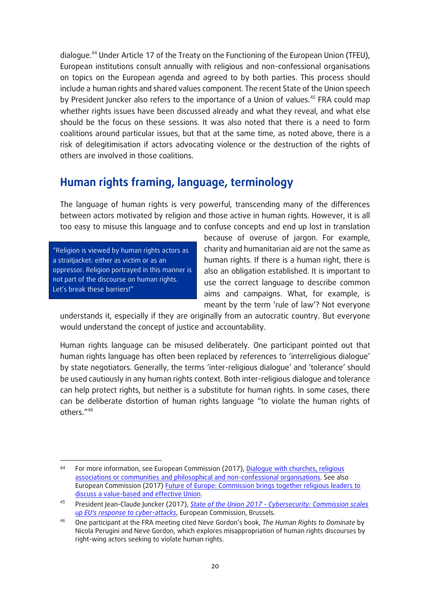dialogue.<sup>44</sup> Under Article 17 of the Treaty on the Functioning of the European Union (TFEU), European institutions consult annually with religious and non-confessional organisations on topics on the European agenda and agreed to by both parties. This process should include a human rights and shared values component. The recent State of the Union speech by President Juncker also refers to the importance of a Union of values.<sup>45</sup> FRA could map whether rights issues have been discussed already and what they reveal, and what else should be the focus on these sessions. It was also noted that there is a need to form coalitions around particular issues, but that at the same time, as noted above, there is a risk of delegitimisation if actors advocating violence or the destruction of the rights of others are involved in those coalitions.

# <span id="page-19-0"></span>**Human rights framing, language, terminology**

The language of human rights is very powerful, transcending many of the differences between actors motivated by religion and those active in human rights. However, it is all too easy to misuse this language and to confuse concepts and end up lost in translation

"Religion is viewed by human rights actors as a straitjacket: either as victim or as an oppressor. Religion portrayed in this manner is not part of the discourse on human rights. Let's break these barriers!"

because of overuse of jargon. For example, charity and humanitarian aid are not the same as human rights. If there is a human right, there is also an obligation established. It is important to use the correct language to describe common aims and campaigns. What, for example, is meant by the term 'rule of law'? Not everyone

understands it, especially if they are originally from an autocratic country. But everyone would understand the concept of justice and accountability.

Human rights language can be misused deliberately. One participant pointed out that human rights language has often been replaced by references to 'interreligious dialogue' by state negotiators. Generally, the terms 'inter-religious dialogue' and 'tolerance' should be used cautiously in any human rights context. Both inter-religious dialogue and tolerance can help protect rights, but neither is a substitute for human rights. In some cases, there can be deliberate distortion of human rights language "to violate the human rights of others." 46

<sup>1</sup> 44 For more information, see European Commission (2017), [Dialogue with churches, religious](http://ec.europa.eu/newsroom/just/item-detail.cfm?item_id=50189)  [associations or communities and philosophical and non-confessional organisations.](http://ec.europa.eu/newsroom/just/item-detail.cfm?item_id=50189) See also European Commission (2017) [Future of Europe: Commission brings together religious leaders to](http://europa.eu/rapid/press-release_IP-17-4342_en.htm)  [discuss a value-based and effective Union.](http://europa.eu/rapid/press-release_IP-17-4342_en.htm)

<sup>45</sup> President Jean-Claude Juncker (2017), *State of the Union 2017 - [Cybersecurity: Commission scales](https://ec.europa.eu/commission/state-union-2017_en)  [up EU's response to cyber-attacks](https://ec.europa.eu/commission/state-union-2017_en)*, European Commission, Brussels.

<sup>46</sup> One participant at the FRA meeting cited Neve Gordon's book, *The Human Rights to Dominate* by Nicola Perugini and Neve Gordon, which explores misappropriation of human rights discourses by right-wing actors seeking to violate human rights.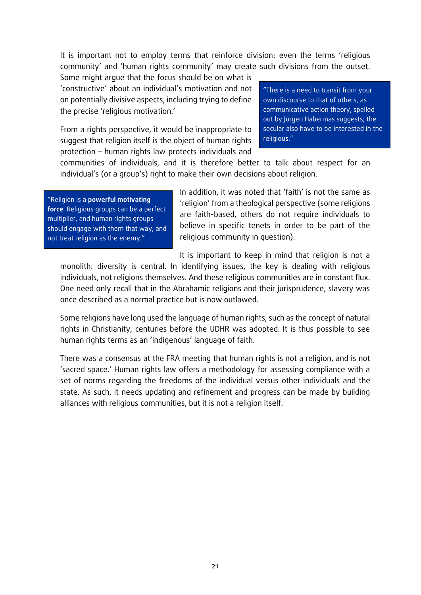It is important not to employ terms that reinforce division: even the terms 'religious community' and 'human rights community' may create such divisions from the outset.

Some might argue that the focus should be on what is 'constructive' about an individual's motivation and not on potentially divisive aspects, including trying to define the precise 'religious motivation.'

From a rights perspective, it would be inappropriate to suggest that religion itself is the object of human rights protection – human rights law protects individuals and

"There is a need to transit from your own discourse to that of others, as communicative action theory, spelled out by Jürgen Habermas suggests; the secular also have to be interested in the religious."

communities of individuals, and it is therefore better to talk about respect for an individual's (or a group's) right to make their own decisions about religion.

"Religion is a **powerful motivating force**. Religious groups can be a perfect multiplier, and human rights groups should engage with them that way, and not treat religion as the enemy."

In addition, it was noted that 'faith' is not the same as 'religion' from a theological perspective (some religions are faith-based, others do not require individuals to believe in specific tenets in order to be part of the religious community in question).

It is important to keep in mind that religion is not a

monolith: diversity is central. In identifying issues, the key is dealing with religious individuals, not religions themselves. And these religious communities are in constant flux. One need only recall that in the Abrahamic religions and their jurisprudence, slavery was once described as a normal practice but is now outlawed.

Some religions have long used the language of human rights, such as the concept of natural rights in Christianity, centuries before the UDHR was adopted. It is thus possible to see human rights terms as an 'indigenous' language of faith.

There was a consensus at the FRA meeting that human rights is not a religion, and is not 'sacred space.' Human rights law offers a methodology for assessing compliance with a set of norms regarding the freedoms of the individual versus other individuals and the state. As such, it needs updating and refinement and progress can be made by building alliances with religious communities, but it is not a religion itself.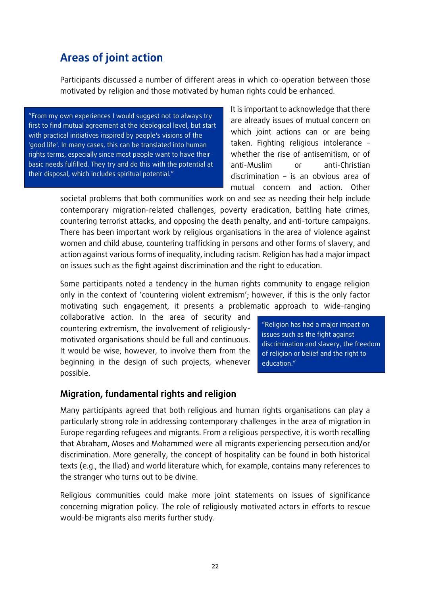# <span id="page-21-0"></span>**Areas of joint action**

Participants discussed a number of different areas in which co-operation between those motivated by religion and those motivated by human rights could be enhanced.

"From my own experiences I would suggest not to always try first to find mutual agreement at the ideological level, but start with practical initiatives inspired by people's visions of the 'good life'. In many cases, this can be translated into human rights terms, especially since most people want to have their basic needs fulfilled. They try and do this with the potential at their disposal, which includes spiritual potential."

It is important to acknowledge that there are already issues of mutual concern on which joint actions can or are being taken. Fighting religious intolerance – whether the rise of antisemitism, or of anti-Muslim or anti-Christian discrimination – is an obvious area of mutual concern and action. Other

societal problems that both communities work on and see as needing their help include contemporary migration-related challenges, poverty eradication, battling hate crimes, countering terrorist attacks, and opposing the death penalty, and anti-torture campaigns. There has been important work by religious organisations in the area of violence against women and child abuse, countering trafficking in persons and other forms of slavery, and action against various forms of inequality, including racism. Religion has had a major impact on issues such as the fight against discrimination and the right to education.

Some participants noted a tendency in the human rights community to engage religion only in the context of 'countering violent extremism'; however, if this is the only factor motivating such engagement, it presents a problematic approach to wide-ranging

collaborative action. In the area of security and countering extremism, the involvement of religiouslymotivated organisations should be full and continuous. It would be wise, however, to involve them from the beginning in the design of such projects, whenever possible.

"Religion has had a major impact on issues such as the fight against discrimination and slavery, the freedom of religion or belief and the right to education."

### <span id="page-21-1"></span>**Migration, fundamental rights and religion**

Many participants agreed that both religious and human rights organisations can play a particularly strong role in addressing contemporary challenges in the area of migration in Europe regarding refugees and migrants. From a religious perspective, it is worth recalling that Abraham, Moses and Mohammed were all migrants experiencing persecution and/or discrimination. More generally, the concept of hospitality can be found in both historical texts (e.g., the Iliad) and world literature which, for example, contains many references to the stranger who turns out to be divine.

Religious communities could make more joint statements on issues of significance concerning migration policy. The role of religiously motivated actors in efforts to rescue would-be migrants also merits further study.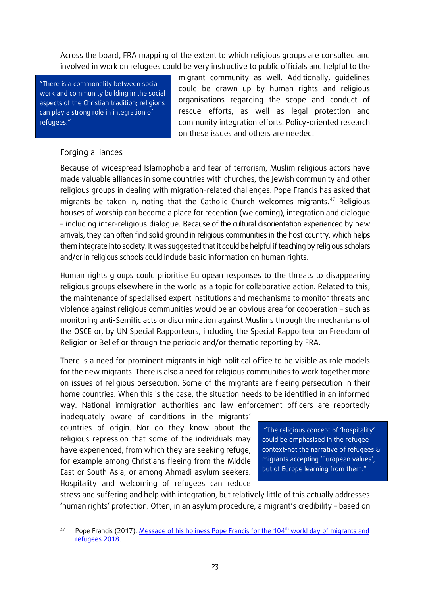Across the board, FRA mapping of the extent to which religious groups are consulted and involved in work on refugees could be very instructive to public officials and helpful to the

"There is a commonality between social work and community building in the social aspects of the Christian tradition; religions can play a strong role in integration of refugees."

migrant community as well. Additionally, guidelines could be drawn up by human rights and religious organisations regarding the scope and conduct of rescue efforts, as well as legal protection and community integration efforts. Policy-oriented research on these issues and others are needed.

### Forging alliances

 $\overline{\phantom{a}}$ 

Because of widespread Islamophobia and fear of terrorism, Muslim religious actors have made valuable alliances in some countries with churches, the Jewish community and other religious groups in dealing with migration-related challenges. Pope Francis has asked that migrants be taken in, noting that the Catholic Church welcomes migrants.<sup>47</sup> Religious houses of worship can become a place for reception (welcoming), integration and dialogue – including inter-religious dialogue. Because of the cultural disorientation experienced by new arrivals, they can often find solid ground in religious communities in the host country, which helps them integrate into society. It was suggested that it could be helpful if teachingby religious scholars and/or in religious schools could include basic information on human rights.

Human rights groups could prioritise European responses to the threats to disappearing religious groups elsewhere in the world as a topic for collaborative action. Related to this, the maintenance of specialised expert institutions and mechanisms to monitor threats and violence against religious communities would be an obvious area for cooperation – such as monitoring anti-Semitic acts or discrimination against Muslims through the mechanisms of the OSCE or, by UN Special Rapporteurs, including the Special Rapporteur on Freedom of Religion or Belief or through the periodic and/or thematic reporting by FRA.

There is a need for prominent migrants in high political office to be visible as role models for the new migrants. There is also a need for religious communities to work together more on issues of religious persecution. Some of the migrants are fleeing persecution in their home countries. When this is the case, the situation needs to be identified in an informed way. National immigration authorities and law enforcement officers are reportedly

inadequately aware of conditions in the migrants' countries of origin. Nor do they know about the religious repression that some of the individuals may have experienced, from which they are seeking refuge, for example among Christians fleeing from the Middle East or South Asia, or among Ahmadi asylum seekers. Hospitality and welcoming of refugees can reduce

"The religious concept of 'hospitality' could be emphasised in the refugee context-not the narrative of refugees & migrants accepting 'European values', but of Europe learning from them."

stress and suffering and help with integration, but relatively little of this actually addresses 'human rights' protection. Often, in an asylum procedure, a migrant's credibility – based on

Pope Francis (2017), [Message of his holiness Pope Francis for the 104](https://w2.vatican.va/content/francesco/en/messages/migration/documents/papa-francesco_20170815_world-migrants-day-2018.html)<sup>th</sup> world day of migrants and [refugees 2018.](https://w2.vatican.va/content/francesco/en/messages/migration/documents/papa-francesco_20170815_world-migrants-day-2018.html)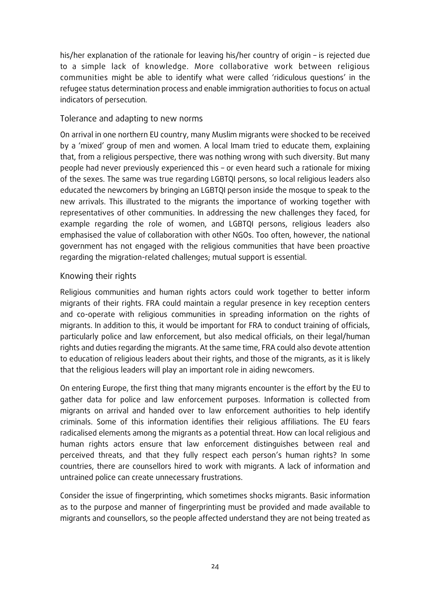his/her explanation of the rationale for leaving his/her country of origin – is rejected due to a simple lack of knowledge. More collaborative work between religious communities might be able to identify what were called 'ridiculous questions' in the refugee status determination process and enable immigration authorities to focus on actual indicators of persecution.

### Tolerance and adapting to new norms

On arrival in one northern EU country, many Muslim migrants were shocked to be received by a 'mixed' group of men and women. A local Imam tried to educate them, explaining that, from a religious perspective, there was nothing wrong with such diversity. But many people had never previously experienced this – or even heard such a rationale for mixing of the sexes. The same was true regarding LGBTQI persons, so local religious leaders also educated the newcomers by bringing an LGBTQI person inside the mosque to speak to the new arrivals. This illustrated to the migrants the importance of working together with representatives of other communities. In addressing the new challenges they faced, for example regarding the role of women, and LGBTQI persons, religious leaders also emphasised the value of collaboration with other NGOs. Too often, however, the national government has not engaged with the religious communities that have been proactive regarding the migration-related challenges; mutual support is essential.

### Knowing their rights

Religious communities and human rights actors could work together to better inform migrants of their rights. FRA could maintain a regular presence in key reception centers and co-operate with religious communities in spreading information on the rights of migrants. In addition to this, it would be important for FRA to conduct training of officials, particularly police and law enforcement, but also medical officials, on their legal/human rights and duties regarding the migrants. At the same time, FRA could also devote attention to education of religious leaders about their rights, and those of the migrants, as it is likely that the religious leaders will play an important role in aiding newcomers.

On entering Europe, the first thing that many migrants encounter is the effort by the EU to gather data for police and law enforcement purposes. Information is collected from migrants on arrival and handed over to law enforcement authorities to help identify criminals. Some of this information identifies their religious affiliations. The EU fears radicalised elements among the migrants as a potential threat. How can local religious and human rights actors ensure that law enforcement distinguishes between real and perceived threats, and that they fully respect each person's human rights? In some countries, there are counsellors hired to work with migrants. A lack of information and untrained police can create unnecessary frustrations.

Consider the issue of fingerprinting, which sometimes shocks migrants. Basic information as to the purpose and manner of fingerprinting must be provided and made available to migrants and counsellors, so the people affected understand they are not being treated as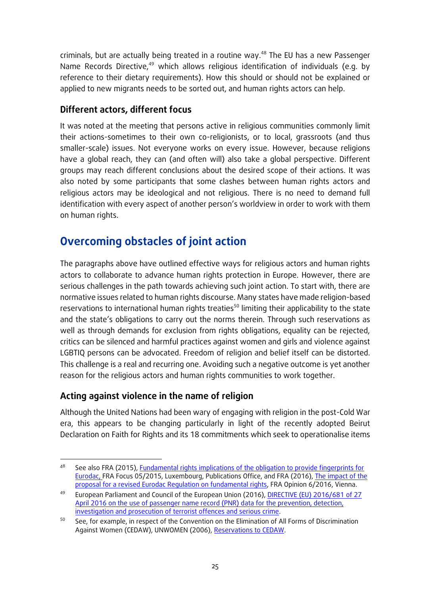criminals, but are actually being treated in a routine way.<sup>48</sup> The EU has a new Passenger Name Records Directive,<sup>49</sup> which allows religious identification of individuals (e.g. by reference to their dietary requirements). How this should or should not be explained or applied to new migrants needs to be sorted out, and human rights actors can help.

### <span id="page-24-0"></span>**Different actors, different focus**

It was noted at the meeting that persons active in religious communities commonly limit their actions-sometimes to their own co-religionists, or to local, grassroots (and thus smaller-scale) issues. Not everyone works on every issue. However, because religions have a global reach, they can (and often will) also take a global perspective. Different groups may reach different conclusions about the desired scope of their actions. It was also noted by some participants that some clashes between human rights actors and religious actors may be ideological and not religious. There is no need to demand full identification with every aspect of another person's worldview in order to work with them on human rights.

# <span id="page-24-1"></span>**Overcoming obstacles of joint action**

The paragraphs above have outlined effective ways for religious actors and human rights actors to collaborate to advance human rights protection in Europe. However, there are serious challenges in the path towards achieving such joint action. To start with, there are normative issues related to human rights discourse. Many states have made religion-based reservations to international human rights treaties<sup>50</sup> limiting their applicability to the state and the state's obligations to carry out the norms therein. Through such reservations as well as through demands for exclusion from rights obligations, equality can be rejected, critics can be silenced and harmful practices against women and girls and violence against LGBTIQ persons can be advocated. Freedom of religion and belief itself can be distorted. This challenge is a real and recurring one. Avoiding such a negative outcome is yet another reason for the religious actors and human rights communities to work together.

### <span id="page-24-2"></span>**Acting against violence in the name of religion**

**.** 

Although the United Nations had been wary of engaging with religion in the post-Cold War era, this appears to be changing particularly in light of the recently adopted Beirut Declaration on Faith for Rights and its 18 commitments which seek to operationalise items

See also FRA (2015)[, Fundamental rights implications of the obligation to provide fingerprints for](http://fra.europa.eu/sites/default/files/fra_uploads/fra-2015-fingerprinting-focus-paper_en.pdf)  [Eurodac,](http://fra.europa.eu/sites/default/files/fra_uploads/fra-2015-fingerprinting-focus-paper_en.pdf) FRA Focus 05/2015, Luxembourg, Publications Office, and FRA (2016)[, The impact of the](http://fra.europa.eu/sites/default/files/fra_uploads/fra-2016-opinion-06-2016-eurodac-0_en.pdf)  [proposal for a revised Eurodac Regulation on fundamental rights,](http://fra.europa.eu/sites/default/files/fra_uploads/fra-2016-opinion-06-2016-eurodac-0_en.pdf) FRA Opinion 6/2016, Vienna.

<sup>&</sup>lt;sup>49</sup> European Parliament and Council of the European Union (2016), DIRECTIVE (EU) 2016/681 of 27 [April 2016 on the use of passenger name record \(PNR\) data for the prevention, detection,](http://eur-lex.europa.eu/eli/dir/2016/681/oj)  [investigation and prosecution of terrorist offences and serious crime.](http://eur-lex.europa.eu/eli/dir/2016/681/oj)

<sup>&</sup>lt;sup>50</sup> See, for example, in respect of the Convention on the Elimination of All Forms of Discrimination Against Women (CEDAW), UNWOMEN (2006), [Reservations to CEDAW.](http://www.un.org/womenwatch/daw/cedaw/reservations.htm)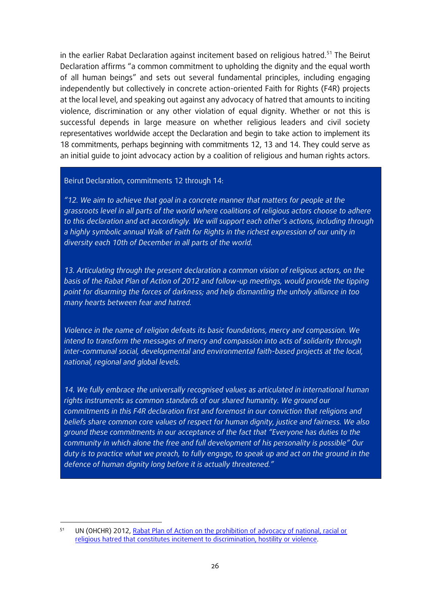in the earlier Rabat Declaration against incitement based on religious hatred.<sup>51</sup> The Beirut Declaration affirms "a common commitment to upholding the dignity and the equal worth of all human beings" and sets out several fundamental principles, including engaging independently but collectively in concrete action-oriented Faith for Rights (F4R) projects at the local level, and speaking out against any advocacy of hatred that amounts to inciting violence, discrimination or any other violation of equal dignity. Whether or not this is successful depends in large measure on whether religious leaders and civil society representatives worldwide accept the Declaration and begin to take action to implement its 18 commitments, perhaps beginning with commitments 12, 13 and 14. They could serve as an initial guide to joint advocacy action by a coalition of religious and human rights actors.

Beirut Declaration, commitments 12 through 14:

*"12. We aim to achieve that goal in a concrete manner that matters for people at the grassroots level in all parts of the world where coalitions of religious actors choose to adhere to this declaration and act accordingly. We will support each other's actions, including through a highly symbolic annual Walk of Faith for Rights in the richest expression of our unity in diversity each 10th of December in all parts of the world.*

*13. Articulating through the present declaration a common vision of religious actors, on the basis of the Rabat Plan of Action of 2012 and follow-up meetings, would provide the tipping point for disarming the forces of darkness; and help dismantling the unholy alliance in too many hearts between fear and hatred.*

*Violence in the name of religion defeats its basic foundations, mercy and compassion. We intend to transform the messages of mercy and compassion into acts of solidarity through inter-communal social, developmental and environmental faith-based projects at the local, national, regional and global levels.*

14. We fully embrace the universally recognised values as articulated in international human rights instruments as common standards of our shared humanity. We ground our *commitments in this F4R declaration first and foremost in our conviction that religions and beliefs share common core values of respect for human dignity, justice and fairness. We also ground these commitments in our acceptance of the fact that "Everyone has duties to the community in which alone the free and full development of his personality is possible" Our duty is to practice what we preach, to fully engage, to speak up and act on the ground in the defence of human dignity long before it is actually threatened."*

 $\overline{\phantom{a}}$ 

UN (OHCHR) 2012, [Rabat Plan of Action on the prohibition of advocacy of national, racial or](http://www.un.org/en/preventgenocide/adviser/pdf/Rabat_draft_outcome.pdf)  [religious hatred that constitutes incitement to discrimination, hostility or violence.](http://www.un.org/en/preventgenocide/adviser/pdf/Rabat_draft_outcome.pdf)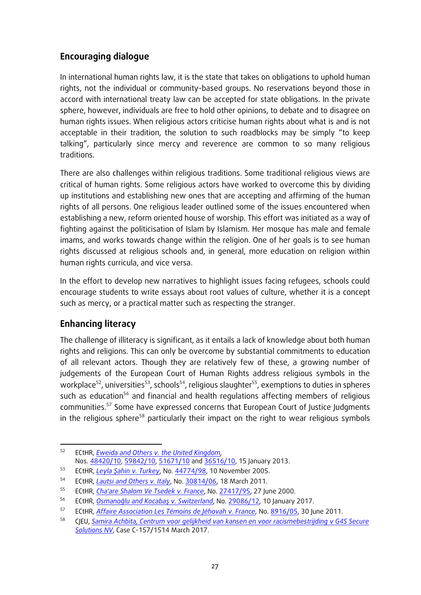### <span id="page-26-0"></span>**Encouraging dialogue**

In international human rights law, it is the state that takes on obligations to uphold human rights, not the individual or community-based groups. No reservations beyond those in accord with international treaty law can be accepted for state obligations. In the private sphere, however, individuals are free to hold other opinions, to debate and to disagree on human rights issues. When religious actors criticise human rights about what is and is not acceptable in their tradition, the solution to such roadblocks may be simply "to keep talking", particularly since mercy and reverence are common to so many religious traditions.

There are also challenges within religious traditions. Some traditional religious views are critical of human rights. Some religious actors have worked to overcome this by dividing up institutions and establishing new ones that are accepting and affirming of the human rights of all persons. One religious leader outlined some of the issues encountered when establishing a new, reform oriented house of worship. This effort was initiated as a way of fighting against the politicisation of Islam by Islamism. Her mosque has male and female imams, and works towards change within the religion. One of her goals is to see human rights discussed at religious schools and, in general, more education on religion within human rights curricula, and vice versa.

In the effort to develop new narratives to highlight issues facing refugees, schools could encourage students to write essays about root values of culture, whether it is a concept such as mercy, or a practical matter such as respecting the stranger.

### <span id="page-26-1"></span>**Enhancing literacy**

The challenge of illiteracy is significant, as it entails a lack of knowledge about both human rights and religions. This can only be overcome by substantial commitments to education of all relevant actors. Though they are relatively few of these, a growing number of judgements of the European Court of Human Rights address religious symbols in the workplace<sup>52</sup>, universities<sup>53</sup>, schools<sup>54</sup>, religious slaughter<sup>55</sup>, exemptions to duties in spheres such as education<sup>56</sup> and financial and health regulations affecting members of religious communities.<sup>57</sup> Some have expressed concerns that European Court of Justice Judgments in the religious sphere<sup>58</sup> particularly their impact on the right to wear religious symbols

**<sup>.</sup>** <sup>52</sup> ECtHR, *[Eweida and Others v. the United Kingdom,](http://hudoc.echr.coe.int/eng?i=001-115881)*  Nos. [48420/10,](https://hudoc.echr.coe.int/eng#{"appno":["48420/10"]}) [59842/10,](https://hudoc.echr.coe.int/eng#{"appno":["59842/10"]}) [51671/10](https://hudoc.echr.coe.int/eng#{"appno":["51671/10"]}) and [36516/10,](https://hudoc.echr.coe.int/eng#{"appno":["36516/10"]}) 15 January 2013.

<sup>53</sup> ECtHR, *[Leyla Şahin v. Turkey](http://hudoc.echr.coe.int/eng?i=001-70956)*, No. [44774/98,](https://hudoc.echr.coe.int/eng#{"appno":["44774/98"]}) 10 November 2005.

<sup>54</sup> ECtHR, *[Lautsi and Others v. Italy](http://hudoc.echr.coe.int/eng?i=001-104040)*, No. [30814/06,](https://hudoc.echr.coe.int/eng#{"appno":["30814/06"]}) 18 March 2011.

<sup>55</sup> ECtHR, *[Cha'are Shalom Ve Tsedek](http://hudoc.echr.coe.int/eng?i=001-58738) v. France*, No. [27417/95,](https://hudoc.echr.coe.int/eng#{"appno":["27417/95"]}) 27 June 2000.

<sup>56</sup> ECtHR, *[Osmanoğlu and Kocabaş v. Switzerland](http://hudoc.echr.coe.int/eng?i=001-170346)*, No. [29086/12,](https://hudoc.echr.coe.int/eng#{"appno":["29086/12"]}) 10 January 2017.

<sup>57</sup> ECtHR, *[Affaire Association Les](http://hudoc.echr.coe.int/eng?i=001-105386) Témoins de Jéhovah v. France*, No[. 8916/05,](https://hudoc.echr.coe.int/eng#{"appno":["8916/05"]}) 30 June 2011.

<sup>58</sup> CJEU, *[Samira Achbita, Centrum voor gelijkheid van kansen en voor racismebestrijding](http://curia.europa.eu/juris/document/document.jsf;jsessionid=9ea7d0f130d5fcd00835eb4045038fbca77ac6dcfebb.e34KaxiLc3eQc40LaxqMbN4PaNiMe0?text=&docid=188852&pageIndex=0&doclang=EN&mode=lst&dir=&occ=first&part=1&cid=289863) v G4S Secure [Solutions NV](http://curia.europa.eu/juris/document/document.jsf;jsessionid=9ea7d0f130d5fcd00835eb4045038fbca77ac6dcfebb.e34KaxiLc3eQc40LaxqMbN4PaNiMe0?text=&docid=188852&pageIndex=0&doclang=EN&mode=lst&dir=&occ=first&part=1&cid=289863)*, Case C-157/1514 March 2017.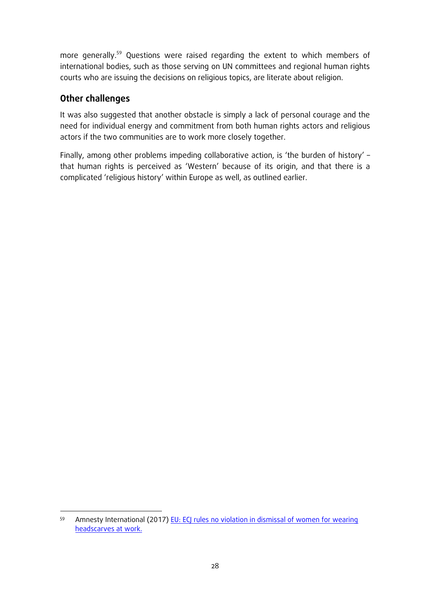more generally.<sup>59</sup> Questions were raised regarding the extent to which members of international bodies, such as those serving on UN committees and regional human rights courts who are issuing the decisions on religious topics, are literate about religion.

### <span id="page-27-0"></span>**Other challenges**

It was also suggested that another obstacle is simply a lack of personal courage and the need for individual energy and commitment from both human rights actors and religious actors if the two communities are to work more closely together.

Finally, among other problems impeding collaborative action, is 'the burden of history' – that human rights is perceived as 'Western' because of its origin, and that there is a complicated 'religious history' within Europe as well, as outlined earlier.

**<sup>.</sup>** 59 Amnesty International (2017) EU: ECJ [rules no violation in dismissal of women for wearing](https://www.amnesty.org/en/press-releases/2017/03/eu-ecj-rules-no-violation-in-dismissal-of-women-for-wearing-headscarves-at-work/)  [headscarves at work.](https://www.amnesty.org/en/press-releases/2017/03/eu-ecj-rules-no-violation-in-dismissal-of-women-for-wearing-headscarves-at-work/)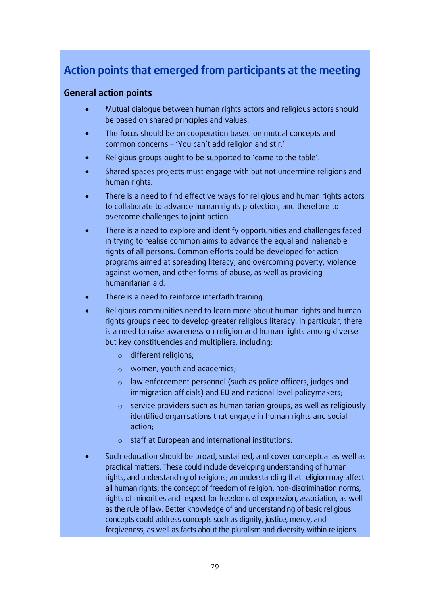# <span id="page-28-0"></span>**Action points that emerged from participants at the meeting**

### **General action points**

- Mutual dialogue between human rights actors and religious actors should be based on shared principles and values.
- The focus should be on cooperation based on mutual concepts and common concerns – 'You can't add religion and stir.'
- Religious groups ought to be supported to 'come to the table'.
- Shared spaces projects must engage with but not undermine religions and human rights.
- There is a need to find effective ways for religious and human rights actors to collaborate to advance human rights protection, and therefore to overcome challenges to joint action.
- There is a need to explore and identify opportunities and challenges faced in trying to realise common aims to advance the equal and inalienable rights of all persons. Common efforts could be developed for action programs aimed at spreading literacy, and overcoming poverty, violence against women, and other forms of abuse, as well as providing humanitarian aid.
- There is a need to reinforce interfaith training.
- Religious communities need to learn more about human rights and human rights groups need to develop greater religious literacy. In particular, there is a need to raise awareness on religion and human rights among diverse but key constituencies and multipliers, including:
	- o different religions;
	- o women, youth and academics;
	- o law enforcement personnel (such as police officers, judges and immigration officials) and EU and national level policymakers;
	- o service providers such as humanitarian groups, as well as religiously identified organisations that engage in human rights and social action;
	- o staff at European and international institutions.
- Such education should be broad, sustained, and cover conceptual as well as practical matters. These could include developing understanding of human rights, and understanding of religions; an understanding that religion may affect all human rights; the concept of freedom of religion, non-discrimination norms, rights of minorities and respect for freedoms of expression, association, as well as the rule of law. Better knowledge of and understanding of basic religious concepts could address concepts such as dignity, justice, mercy, and forgiveness, as well as facts about the pluralism and diversity within religions.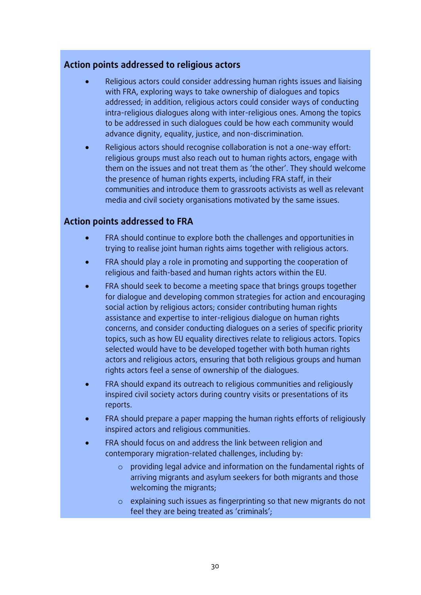### **Action points addressed to religious actors**

- Religious actors could consider addressing human rights issues and liaising with FRA, exploring ways to take ownership of dialogues and topics addressed; in addition, religious actors could consider ways of conducting intra-religious dialogues along with inter-religious ones. Among the topics to be addressed in such dialogues could be how each community would advance dignity, equality, justice, and non-discrimination.
- Religious actors should recognise collaboration is not a one-way effort: religious groups must also reach out to human rights actors, engage with them on the issues and not treat them as 'the other'. They should welcome the presence of human rights experts, including FRA staff, in their communities and introduce them to grassroots activists as well as relevant media and civil society organisations motivated by the same issues.

### **Action points addressed to FRA**

- FRA should continue to explore both the challenges and opportunities in trying to realise joint human rights aims together with religious actors.
- FRA should play a role in promoting and supporting the cooperation of religious and faith-based and human rights actors within the EU.
- FRA should seek to become a meeting space that brings groups together for dialogue and developing common strategies for action and encouraging social action by religious actors; consider contributing human rights assistance and expertise to inter-religious dialogue on human rights concerns, and consider conducting dialogues on a series of specific priority topics, such as how EU equality directives relate to religious actors. Topics selected would have to be developed together with both human rights actors and religious actors, ensuring that both religious groups and human rights actors feel a sense of ownership of the dialogues.
- FRA should expand its outreach to religious communities and religiously inspired civil society actors during country visits or presentations of its reports.
- FRA should prepare a paper mapping the human rights efforts of religiously inspired actors and religious communities.
- FRA should focus on and address the link between religion and contemporary migration-related challenges, including by:
	- o providing legal advice and information on the fundamental rights of arriving migrants and asylum seekers for both migrants and those welcoming the migrants;
	- o explaining such issues as fingerprinting so that new migrants do not feel they are being treated as 'criminals';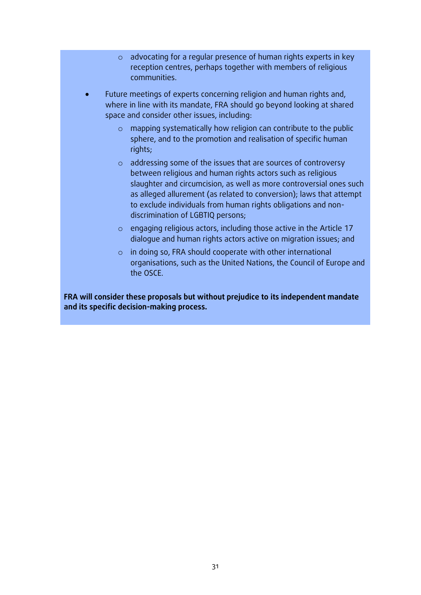- o advocating for a regular presence of human rights experts in key reception centres, perhaps together with members of religious communities.
- Future meetings of experts concerning religion and human rights and, where in line with its mandate, FRA should go beyond looking at shared space and consider other issues, including:
	- o mapping systematically how religion can contribute to the public sphere, and to the promotion and realisation of specific human rights;
	- o addressing some of the issues that are sources of controversy between religious and human rights actors such as religious slaughter and circumcision, as well as more controversial ones such as alleged allurement (as related to conversion); laws that attempt to exclude individuals from human rights obligations and nondiscrimination of LGBTIQ persons;
	- o engaging religious actors, including those active in the [Article](http://ec.europa.eu/newsroom/just/item-detail.cfm?item_id=50189) 17 [dialogue](http://ec.europa.eu/newsroom/just/item-detail.cfm?item_id=50189) and human rights actors active on migration issues; and
	- o in doing so, FRA should cooperate with other international organisations, such as the United Nations, the Council of Europe and the OSCE.

**FRA will consider these proposals but without prejudice to its independent mandate and its specific decision-making process.**